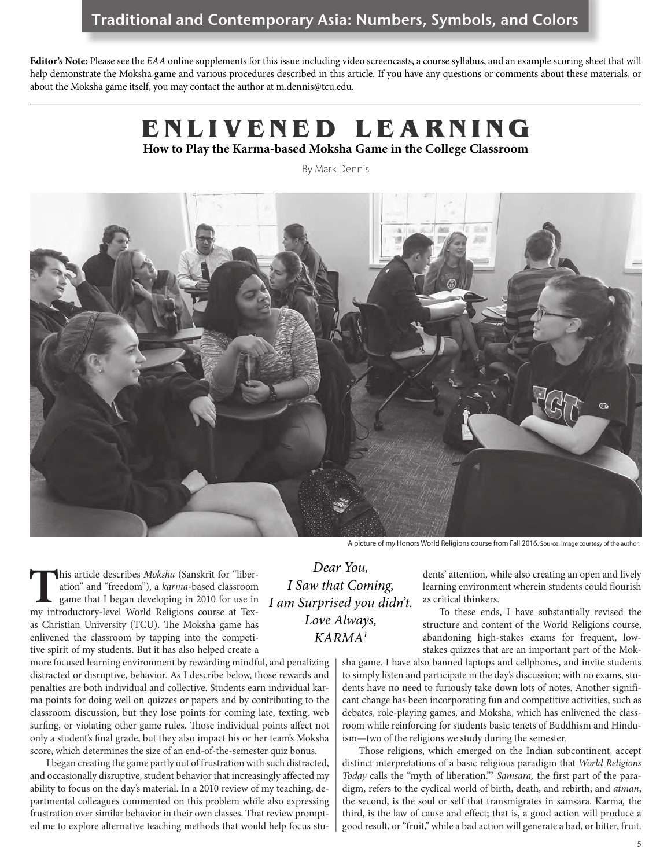Editor's Note: Please see the EAA online supplements for this issue including video screencasts, a course syllabus, and an example scoring sheet that will help demonstrate the Moksha game and various procedures described in this article. If you have any questions or comments about these materials, or about the Moksha game itself, you may contact the author at m.dennis@tcu.edu.

## ENLIVENED LEARNING How to Play the Karma-based Moksha Game in the College Classroom

By Mark Dennis



A picture of my Honors World Religions course from Fall 2016. Source: Image courtesy of the author.

his article describes Moksha (Sanskrit for "liberation" and "freedom"), a karma-based classroom game that I began developing in 2010 for use in my introductory-level World Religions course at Texas Christian University (TCU). The Moksha game has enlivened the classroom by tapping into the competitive spirit of my students. But it has also helped create a

more focused learning environment by rewarding mindful, and penalizing distracted or disruptive, behavior. As I describe below, those rewards and penalties are both individual and collective. Students earn individual karma points for doing well on quizzes or papers and by contributing to the classroom discussion, but they lose points for coming late, texting, web surfing, or violating other game rules. Those individual points affect not only a student's final grade, but they also impact his or her team's Moksha score, which determines the size of an end-of-the-semester quiz bonus.

I began creating the game partly out of frustration with such distracted, and occasionally disruptive, student behavior that increasingly affected my ability to focus on the day's material. In a 2010 review of my teaching, departmental colleagues commented on this problem while also expressing frustration over similar behavior in their own classes. That review prompted me to explore alternative teaching methods that would help focus stu-

Dear You, I Saw that Coming, I am Surprised you didn't. Love Always, KARMA<sup>1</sup>

dents' attention, while also creating an open and lively learning environment wherein students could flourish as critical thinkers.

To these ends, I have substantially revised the structure and content of the World Religions course, abandoning high-stakes exams for frequent, lowstakes quizzes that are an important part of the Mok-

sha game. I have also banned laptops and cellphones, and invite students to simply listen and participate in the day's discussion; with no exams, students have no need to furiously take down lots of notes. Another significant change has been incorporating fun and competitive activities, such as debates, role-playing games, and Moksha, which has enlivened the classroom while reinforcing for students basic tenets of Buddhism and Hinduism—two of the religions we study during the semester.

Those religions, which emerged on the Indian subcontinent, accept distinct interpretations of a basic religious paradigm that World Religions Today calls the "myth of liberation."<sup>2</sup> Samsara, the first part of the paradigm, refers to the cyclical world of birth, death, and rebirth; and atman, the second, is the soul or self that transmigrates in samsara. Karma, the third, is the law of cause and effect; that is, a good action will produce a good result, or "fruit," while a bad action will generate a bad, or bitter, fruit.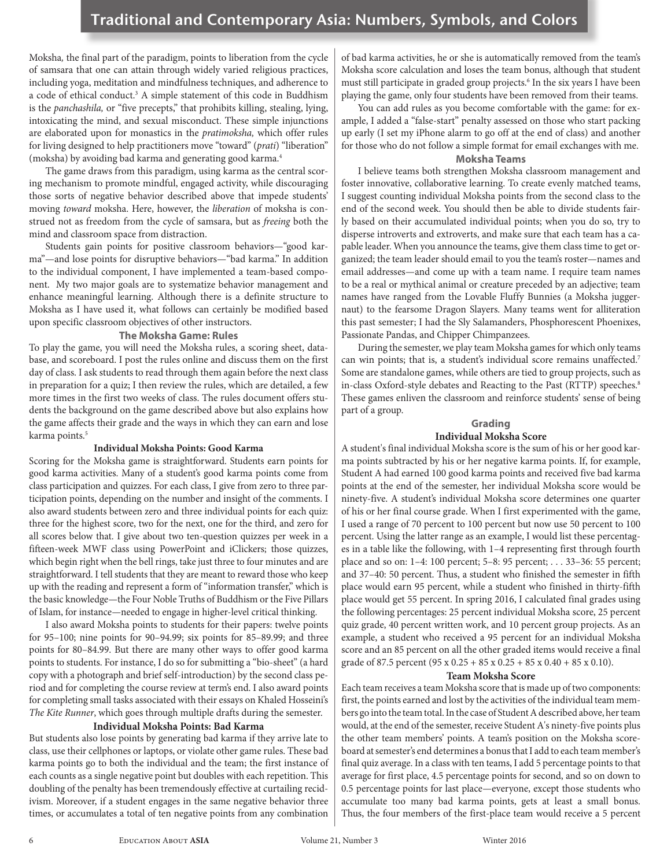Moksha, the final part of the paradigm, points to liberation from the cycle of samsara that one can attain through widely varied religious practices, including yoga, meditation and mindfulness techniques, and adherence to a code of ethical conduct.<sup>3</sup> A simple statement of this code in Buddhism is the panchashila, or "five precepts," that prohibits killing, stealing, lying, intoxicating the mind, and sexual misconduct. These simple injunctions are elaborated upon for monastics in the *pratimoksha*, which offer rules for living designed to help practitioners move "toward" (prati) "liberation" (moksha) by avoiding bad karma and generating good karma.<sup>4</sup>

The game draws from this paradigm, using karma as the central scoring mechanism to promote mindful, engaged activity, while discouraging those sorts of negative behavior described above that impede students' moving toward moksha. Here, however, the liberation of moksha is construed not as freedom from the cycle of samsara, but as freeing both the mind and classroom space from distraction.

Students gain points for positive classroom behaviors-"good karma"-and lose points for disruptive behaviors-"bad karma." In addition to the individual component, I have implemented a team-based component. My two major goals are to systematize behavior management and enhance meaningful learning. Although there is a definite structure to Moksha as I have used it, what follows can certainly be modified based upon specific classroom objectives of other instructors.

#### **The Moksha Game: Rules**

To play the game, you will need the Moksha rules, a scoring sheet, database, and scoreboard. I post the rules online and discuss them on the first day of class. I ask students to read through them again before the next class in preparation for a quiz; I then review the rules, which are detailed, a few more times in the first two weeks of class. The rules document offers students the background on the game described above but also explains how the game affects their grade and the ways in which they can earn and lose karma points.<sup>5</sup>

#### Individual Moksha Points: Good Karma

Scoring for the Moksha game is straightforward. Students earn points for good karma activities. Many of a student's good karma points come from class participation and quizzes. For each class, I give from zero to three participation points, depending on the number and insight of the comments. I also award students between zero and three individual points for each quiz: three for the highest score, two for the next, one for the third, and zero for all scores below that. I give about two ten-question quizzes per week in a fifteen-week MWF class using PowerPoint and iClickers; those quizzes, which begin right when the bell rings, take just three to four minutes and are straightforward. I tell students that they are meant to reward those who keep up with the reading and represent a form of "information transfer," which is the basic knowledge-the Four Noble Truths of Buddhism or the Five Pillars of Islam, for instance—needed to engage in higher-level critical thinking.

I also award Moksha points to students for their papers: twelve points for 95-100; nine points for 90-94.99; six points for 85-89.99; and three points for 80-84.99. But there are many other ways to offer good karma points to students. For instance, I do so for submitting a "bio-sheet" (a hard copy with a photograph and brief self-introduction) by the second class period and for completing the course review at term's end. I also award points for completing small tasks associated with their essays on Khaled Hosseini's The Kite Runner, which goes through multiple drafts during the semester.

#### Individual Moksha Points: Bad Karma

But students also lose points by generating bad karma if they arrive late to class, use their cellphones or laptops, or violate other game rules. These bad karma points go to both the individual and the team; the first instance of each counts as a single negative point but doubles with each repetition. This doubling of the penalty has been tremendously effective at curtailing recidivism. Moreover, if a student engages in the same negative behavior three times, or accumulates a total of ten negative points from any combination

of bad karma activities, he or she is automatically removed from the team's Moksha score calculation and loses the team bonus, although that student must still participate in graded group projects.<sup>6</sup> In the six years I have been playing the game, only four students have been removed from their teams.

You can add rules as you become comfortable with the game: for example, I added a "false-start" penalty assessed on those who start packing up early (I set my iPhone alarm to go off at the end of class) and another for those who do not follow a simple format for email exchanges with me.

#### **Moksha Teams**

I believe teams both strengthen Moksha classroom management and foster innovative, collaborative learning. To create evenly matched teams, I suggest counting individual Moksha points from the second class to the end of the second week. You should then be able to divide students fairly based on their accumulated individual points; when you do so, try to disperse introverts and extroverts, and make sure that each team has a capable leader. When you announce the teams, give them class time to get organized; the team leader should email to you the team's roster-names and email addresses—and come up with a team name. I require team names to be a real or mythical animal or creature preceded by an adjective; team names have ranged from the Lovable Fluffy Bunnies (a Moksha juggernaut) to the fearsome Dragon Slayers. Many teams went for alliteration this past semester; I had the Sly Salamanders, Phosphorescent Phoenixes, Passionate Pandas, and Chipper Chimpanzees.

During the semester, we play team Moksha games for which only teams can win points; that is, a student's individual score remains unaffected.7 Some are standalone games, while others are tied to group projects, such as in-class Oxford-style debates and Reacting to the Past (RTTP) speeches.<sup>8</sup> These games enliven the classroom and reinforce students' sense of being part of a group.

### **Grading**

#### **Individual Moksha Score**

A student's final individual Moksha score is the sum of his or her good karma points subtracted by his or her negative karma points. If, for example, Student A had earned 100 good karma points and received five bad karma points at the end of the semester, her individual Moksha score would be ninety-five. A student's individual Moksha score determines one quarter of his or her final course grade. When I first experimented with the game, I used a range of 70 percent to 100 percent but now use 50 percent to 100 percent. Using the latter range as an example, I would list these percentages in a table like the following, with 1-4 representing first through fourth place and so on: 1-4: 100 percent; 5-8: 95 percent; . . . 33-36: 55 percent; and 37-40: 50 percent. Thus, a student who finished the semester in fifth place would earn 95 percent, while a student who finished in thirty-fifth place would get 55 percent. In spring 2016, I calculated final grades using the following percentages: 25 percent individual Moksha score, 25 percent quiz grade, 40 percent written work, and 10 percent group projects. As an example, a student who received a 95 percent for an individual Moksha score and an 85 percent on all the other graded items would receive a final grade of 87.5 percent  $(95 \times 0.25 + 85 \times 0.25 + 85 \times 0.40 + 85 \times 0.10)$ .

#### **Team Moksha Score**

Each team receives a team Moksha score that is made up of two components: first, the points earned and lost by the activities of the individual team members go into the team total. In the case of Student A described above, her team would, at the end of the semester, receive Student A's ninety-five points plus the other team members' points. A team's position on the Moksha scoreboard at semester's end determines a bonus that I add to each team member's final quiz average. In a class with ten teams, I add 5 percentage points to that average for first place, 4.5 percentage points for second, and so on down to 0.5 percentage points for last place-everyone, except those students who accumulate too many bad karma points, gets at least a small bonus. Thus, the four members of the first-place team would receive a 5 percent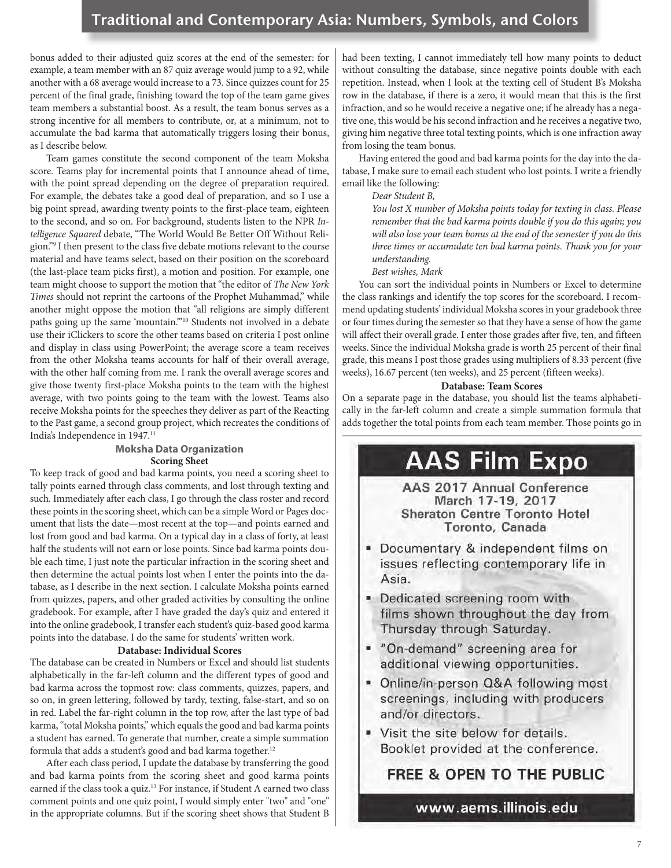bonus added to their adjusted quiz scores at the end of the semester: for example, a team member with an 87 quiz average would jump to a 92, while another with a 68 average would increase to a 73. Since quizzes count for 25 percent of the final grade, finishing toward the top of the team game gives team members a substantial boost. As a result, the team bonus serves as a strong incentive for all members to contribute, or, at a minimum, not to accumulate the bad karma that automatically triggers losing their bonus, as I describe below.

Team games constitute the second component of the team Moksha score. Teams play for incremental points that I announce ahead of time, with the point spread depending on the degree of preparation required. For example, the debates take a good deal of preparation, and so I use a big point spread, awarding twenty points to the first-place team, eighteen to the second, and so on. For background, students listen to the NPR Intelligence Squared debate, "The World Would Be Better Off Without Religion."<sup>9</sup> I then present to the class five debate motions relevant to the course material and have teams select, based on their position on the scoreboard (the last-place team picks first), a motion and position. For example, one team might choose to support the motion that "the editor of The New York Times should not reprint the cartoons of the Prophet Muhammad," while another might oppose the motion that "all religions are simply different paths going up the same 'mountain."<sup>10</sup> Students not involved in a debate use their iClickers to score the other teams based on criteria I post online and display in class using PowerPoint; the average score a team receives from the other Moksha teams accounts for half of their overall average, with the other half coming from me. I rank the overall average scores and give those twenty first-place Moksha points to the team with the highest average, with two points going to the team with the lowest. Teams also receive Moksha points for the speeches they deliver as part of the Reacting to the Past game, a second group project, which recreates the conditions of India's Independence in 1947.<sup>11</sup>

#### **Moksha Data Organization Scoring Sheet**

To keep track of good and bad karma points, you need a scoring sheet to tally points earned through class comments, and lost through texting and such. Immediately after each class, I go through the class roster and record these points in the scoring sheet, which can be a simple Word or Pages document that lists the date-most recent at the top-and points earned and lost from good and bad karma. On a typical day in a class of forty, at least half the students will not earn or lose points. Since bad karma points double each time, I just note the particular infraction in the scoring sheet and then determine the actual points lost when I enter the points into the database, as I describe in the next section. I calculate Moksha points earned from quizzes, papers, and other graded activities by consulting the online gradebook. For example, after I have graded the day's quiz and entered it into the online gradebook, I transfer each student's quiz-based good karma points into the database. I do the same for students' written work.

#### Database: Individual Scores

The database can be created in Numbers or Excel and should list students alphabetically in the far-left column and the different types of good and bad karma across the topmost row: class comments, quizzes, papers, and so on, in green lettering, followed by tardy, texting, false-start, and so on in red. Label the far-right column in the top row, after the last type of bad karma, "total Moksha points," which equals the good and bad karma points a student has earned. To generate that number, create a simple summation formula that adds a student's good and bad karma together.<sup>12</sup>

After each class period, I update the database by transferring the good and bad karma points from the scoring sheet and good karma points earned if the class took a quiz.<sup>13</sup> For instance, if Student A earned two class comment points and one quiz point, I would simply enter "two" and "one" in the appropriate columns. But if the scoring sheet shows that Student B had been texting, I cannot immediately tell how many points to deduct without consulting the database, since negative points double with each repetition. Instead, when I look at the texting cell of Student B's Moksha row in the database, if there is a zero, it would mean that this is the first infraction, and so he would receive a negative one; if he already has a negative one, this would be his second infraction and he receives a negative two, giving him negative three total texting points, which is one infraction away from losing the team bonus.

Having entered the good and bad karma points for the day into the database, I make sure to email each student who lost points. I write a friendly email like the following:

#### Dear Student B,

You lost X number of Moksha points today for texting in class. Please remember that the bad karma points double if you do this again; you will also lose your team bonus at the end of the semester if you do this three times or accumulate ten bad karma points. Thank you for your understanding.

#### Best wishes, Mark

You can sort the individual points in Numbers or Excel to determine the class rankings and identify the top scores for the scoreboard. I recommend updating students' individual Moksha scores in your gradebook three or four times during the semester so that they have a sense of how the game will affect their overall grade. I enter those grades after five, ten, and fifteen weeks. Since the individual Moksha grade is worth 25 percent of their final grade, this means I post those grades using multipliers of 8.33 percent (five weeks), 16.67 percent (ten weeks), and 25 percent (fifteen weeks).

#### Database: Team Scores

On a separate page in the database, you should list the teams alphabetically in the far-left column and create a simple summation formula that adds together the total points from each team member. Those points go in

# **AAS Film Expo**

**AAS 2017 Annual Conference** March 17-19, 2017 **Sheraton Centre Toronto Hotel** Toronto, Canada

- · Documentary & independent films on issues reflecting contemporary life in Asia.
- Dedicated screening room with films shown throughout the day from Thursday through Saturday.
- "On-demand" screening area for additional viewing opportunities.
- Online/in-person Q&A following most screenings, including with producers and/or directors.
- Visit the site below for details. Booklet provided at the conference.

## **FREE & OPEN TO THE PUBLIC**

### www.aems.illinois.edu